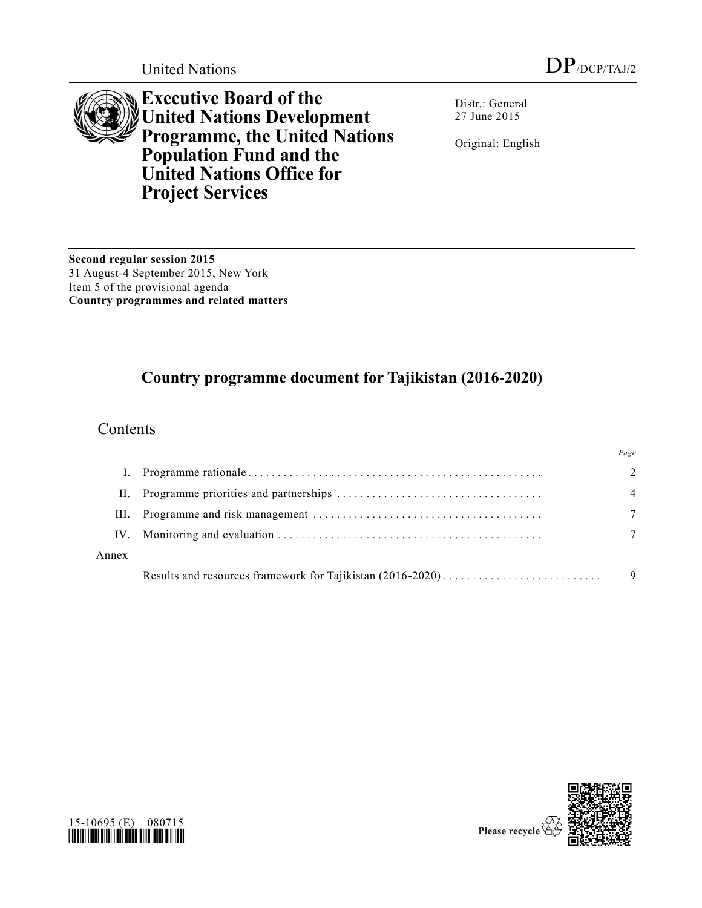

**Executive Board of the United Nations Development Programme, the United Nations Population Fund and the United Nations Office for Project Services**

Distr.: General 27 June 2015

Original: English

**Second regular session 2015** 31 August-4 September 2015, New York Item 5 of the provisional agenda **Country programmes and related matters**

# **Country programme document for Tajikistan (2016-2020)**

# Contents

|       | Page                        |
|-------|-----------------------------|
|       | $\mathcal{D}_{\mathcal{L}}$ |
| Н.    | $\overline{4}$              |
| III.  |                             |
| IV.   |                             |
| Annex |                             |
|       | 9                           |



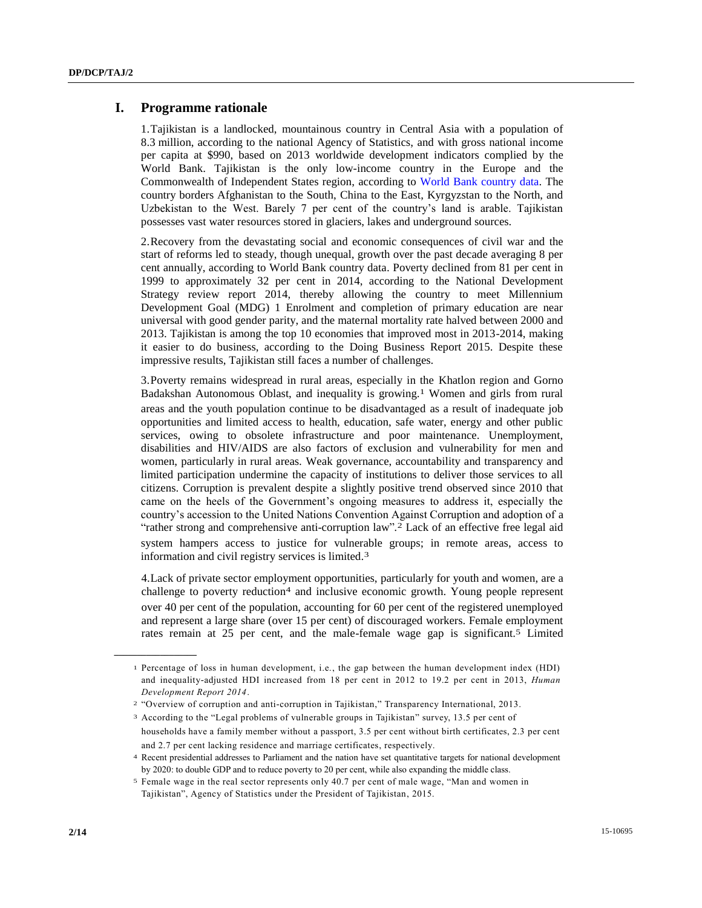### **I. Programme rationale**

1.Tajikistan is a landlocked, mountainous country in Central Asia with a population of 8.3 million, according to the national Agency of Statistics, and with gross national income per capita at \$990, based on 2013 worldwide development indicators complied by the World Bank. Tajikistan is the only low-income country in the Europe and the Commonwealth of Independent States region, according to [World Bank country data.](http://data.worldbank.org/country/tajikistan) The country borders Afghanistan to the South, China to the East, Kyrgyzstan to the North, and Uzbekistan to the West. Barely 7 per cent of the country's land is arable. Tajikistan possesses vast water resources stored in glaciers, lakes and underground sources.

2.Recovery from the devastating social and economic consequences of civil war and the start of reforms led to steady, though unequal, growth over the past decade averaging 8 per cent annually, according to World Bank country data. Poverty declined from 81 per cent in 1999 to approximately 32 per cent in 2014, according to the National Development Strategy review report 2014, thereby allowing the country to meet Millennium Development Goal (MDG) 1 Enrolment and completion of primary education are near universal with good gender parity, and the maternal mortality rate halved between 2000 and 2013. Tajikistan is among the top 10 economies that improved most in 2013-2014, making it easier to do business, according to the Doing Business Report 2015. Despite these impressive results, Tajikistan still faces a number of challenges.

3.Poverty remains widespread in rural areas, especially in the Khatlon region and Gorno Badakshan Autonomous Oblast, and inequality is growing.1 Women and girls from rural areas and the youth population continue to be disadvantaged as a result of inadequate job opportunities and limited access to health, education, safe water, energy and other public services, owing to obsolete infrastructure and poor maintenance. Unemployment, disabilities and HIV/AIDS are also factors of exclusion and vulnerability for men and women, particularly in rural areas. Weak governance, accountability and transparency and limited participation undermine the capacity of institutions to deliver those services to all citizens. Corruption is prevalent despite a slightly positive trend observed since 2010 that came on the heels of the Government's ongoing measures to address it, especially the country's accession to the United Nations Convention Against Corruption and adoption of a "rather strong and comprehensive anti-corruption law"*.* 2 Lack of an effective free legal aid system hampers access to justice for vulnerable groups; in remote areas, access to information and civil registry services is limited.3

4.Lack of private sector employment opportunities, particularly for youth and women, are a challenge to poverty reduction<sup>4</sup> and inclusive economic growth. Young people represent over 40 per cent of the population, accounting for 60 per cent of the registered unemployed and represent a large share (over 15 per cent) of discouraged workers. Female employment rates remain at 25 per cent, and the male-female wage gap is significant.5 Limited

<sup>1</sup> Percentage of loss in human development, i.e., the gap between the human development index (HDI) and inequality-adjusted HDI increased from 18 per cent in 2012 to 19.2 per cent in 2013, *Human Development Report 2014*.

<sup>2</sup> "Overview of corruption and anti-corruption in Tajikistan," Transparency International, 2013.

<sup>3</sup> According to the "Legal problems of vulnerable groups in Tajikistan" survey, 13.5 per cent of households have a family member without a passport, 3.5 per cent without birth certificates, 2.3 per cent and 2.7 per cent lacking residence and marriage certificates, respectively.

<sup>4</sup> Recent presidential addresses to Parliament and the nation have set quantitative targets for national development by 2020: to double GDP and to reduce poverty to 20 per cent, while also expanding the middle class.

<sup>5</sup> Female wage in the real sector represents only 40.7 per cent of male wage, "Man and women in Tajikistan", Agency of Statistics under the President of Tajikistan, 2015.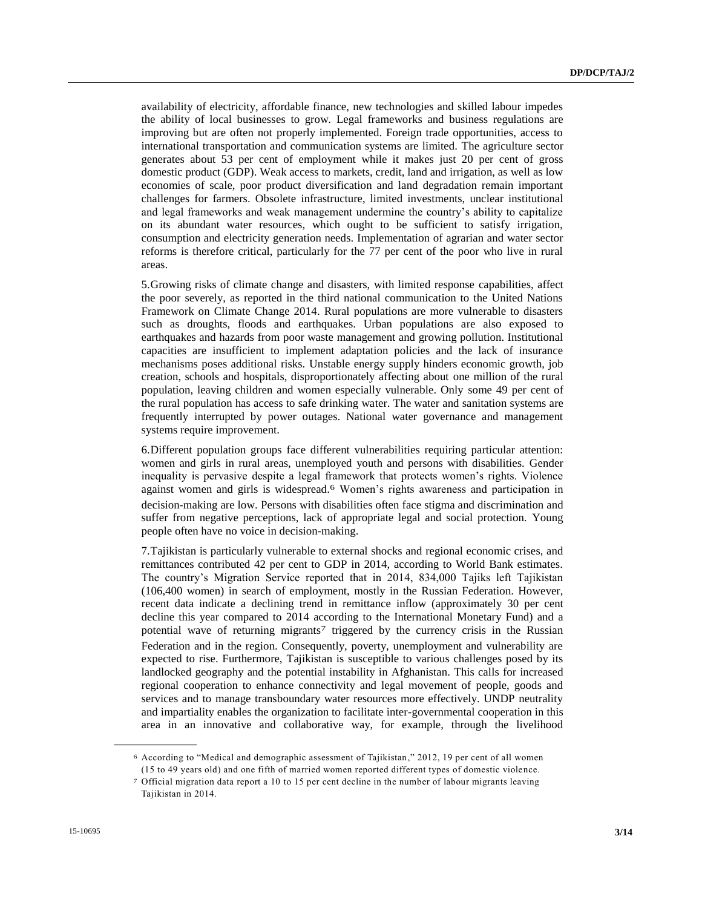availability of electricity, affordable finance, new technologies and skilled labour impedes the ability of local businesses to grow. Legal frameworks and business regulations are improving but are often not properly implemented. Foreign trade opportunities, access to international transportation and communication systems are limited. The agriculture sector generates about 53 per cent of employment while it makes just 20 per cent of gross domestic product (GDP). Weak access to markets, credit, land and irrigation, as well as low economies of scale, poor product diversification and land degradation remain important challenges for farmers. Obsolete infrastructure, limited investments, unclear institutional and legal frameworks and weak management undermine the country's ability to capitalize on its abundant water resources, which ought to be sufficient to satisfy irrigation, consumption and electricity generation needs. Implementation of agrarian and water sector reforms is therefore critical, particularly for the 77 per cent of the poor who live in rural areas.

5.Growing risks of climate change and disasters, with limited response capabilities, affect the poor severely, as reported in the third national communication to the United Nations Framework on Climate Change 2014. Rural populations are more vulnerable to disasters such as droughts, floods and earthquakes. Urban populations are also exposed to earthquakes and hazards from poor waste management and growing pollution. Institutional capacities are insufficient to implement adaptation policies and the lack of insurance mechanisms poses additional risks. Unstable energy supply hinders economic growth, job creation, schools and hospitals, disproportionately affecting about one million of the rural population, leaving children and women especially vulnerable. Only some 49 per cent of the rural population has access to safe drinking water. The water and sanitation systems are frequently interrupted by power outages. National water governance and management systems require improvement.

6.Different population groups face different vulnerabilities requiring particular attention: women and girls in rural areas, unemployed youth and persons with disabilities. Gender inequality is pervasive despite a legal framework that protects women's rights. Violence against women and girls is widespread.6 Women's rights awareness and participation in decision-making are low. Persons with disabilities often face stigma and discrimination and suffer from negative perceptions, lack of appropriate legal and social protection. Young people often have no voice in decision-making.

7.Tajikistan is particularly vulnerable to external shocks and regional economic crises, and remittances contributed 42 per cent to GDP in 2014, according to World Bank estimates. The country's Migration Service reported that in 2014, 834,000 Tajiks left Tajikistan (106,400 women) in search of employment, mostly in the Russian Federation. However, recent data indicate a declining trend in remittance inflow (approximately 30 per cent decline this year compared to 2014 according to the International Monetary Fund) and a potential wave of returning migrants<sup>7</sup> triggered by the currency crisis in the Russian Federation and in the region. Consequently, poverty, unemployment and vulnerability are expected to rise. Furthermore, Tajikistan is susceptible to various challenges posed by its landlocked geography and the potential instability in Afghanistan. This calls for increased regional cooperation to enhance connectivity and legal movement of people, goods and services and to manage transboundary water resources more effectively. UNDP neutrality and impartiality enables the organization to facilitate inter-governmental cooperation in this area in an innovative and collaborative way, for example, through the livelihood

<sup>6</sup> According to "Medical and demographic assessment of Tajikistan," 2012, 19 per cent of all women (15 to 49 years old) and one fifth of married women reported different types of domestic violence.

<sup>7</sup> Official migration data report a 10 to 15 per cent decline in the number of labour migrants leaving Tajikistan in 2014.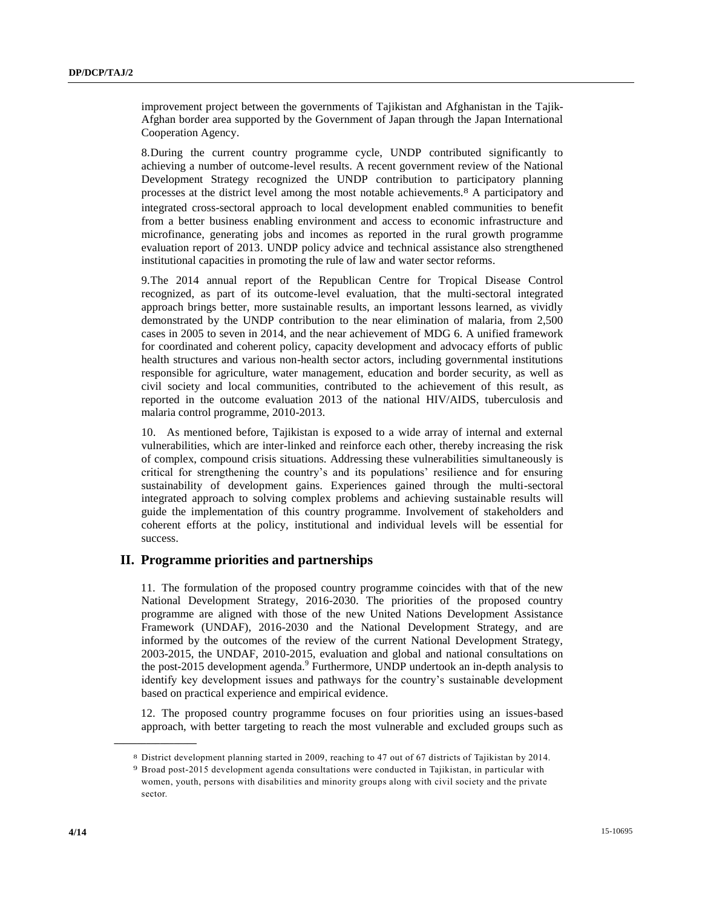improvement project between the governments of Tajikistan and Afghanistan in the Tajik-Afghan border area supported by the Government of Japan through the Japan International Cooperation Agency.

8.During the current country programme cycle, UNDP contributed significantly to achieving a number of outcome-level results. A recent government review of the National Development Strategy recognized the UNDP contribution to participatory planning processes at the district level among the most notable achievements.8 A participatory and integrated cross-sectoral approach to local development enabled communities to benefit from a better business enabling environment and access to economic infrastructure and microfinance, generating jobs and incomes as reported in the rural growth programme evaluation report of 2013. UNDP policy advice and technical assistance also strengthened institutional capacities in promoting the rule of law and water sector reforms.

9.The 2014 annual report of the Republican Centre for Tropical Disease Control recognized, as part of its outcome-level evaluation, that the multi-sectoral integrated approach brings better, more sustainable results, an important lessons learned, as vividly demonstrated by the UNDP contribution to the near elimination of malaria, from 2,500 cases in 2005 to seven in 2014, and the near achievement of MDG 6. A unified framework for coordinated and coherent policy, capacity development and advocacy efforts of public health structures and various non-health sector actors, including governmental institutions responsible for agriculture, water management, education and border security, as well as civil society and local communities, contributed to the achievement of this result, as reported in the outcome evaluation 2013 of the national HIV/AIDS, tuberculosis and malaria control programme, 2010-2013.

10. As mentioned before, Tajikistan is exposed to a wide array of internal and external vulnerabilities, which are inter-linked and reinforce each other, thereby increasing the risk of complex, compound crisis situations. Addressing these vulnerabilities simultaneously is critical for strengthening the country's and its populations' resilience and for ensuring sustainability of development gains. Experiences gained through the multi-sectoral integrated approach to solving complex problems and achieving sustainable results will guide the implementation of this country programme. Involvement of stakeholders and coherent efforts at the policy, institutional and individual levels will be essential for success.

### **II. Programme priorities and partnerships**

11. The formulation of the proposed country programme coincides with that of the new National Development Strategy, 2016-2030. The priorities of the proposed country programme are aligned with those of the new United Nations Development Assistance Framework (UNDAF), 2016-2030 and the National Development Strategy, and are informed by the outcomes of the review of the current National Development Strategy, 2003-2015, the UNDAF, 2010-2015, evaluation and global and national consultations on the post-2015 development agenda.<sup>9</sup> Furthermore, UNDP undertook an in-depth analysis to identify key development issues and pathways for the country's sustainable development based on practical experience and empirical evidence.

12. The proposed country programme focuses on four priorities using an issues-based approach, with better targeting to reach the most vulnerable and excluded groups such as

<sup>8</sup> District development planning started in 2009, reaching to 47 out of 67 districts of Tajikistan by 2014.

<sup>9</sup> Broad post-2015 development agenda consultations were conducted in Tajikistan, in particular with women, youth, persons with disabilities and minority groups along with civil society and the private sector.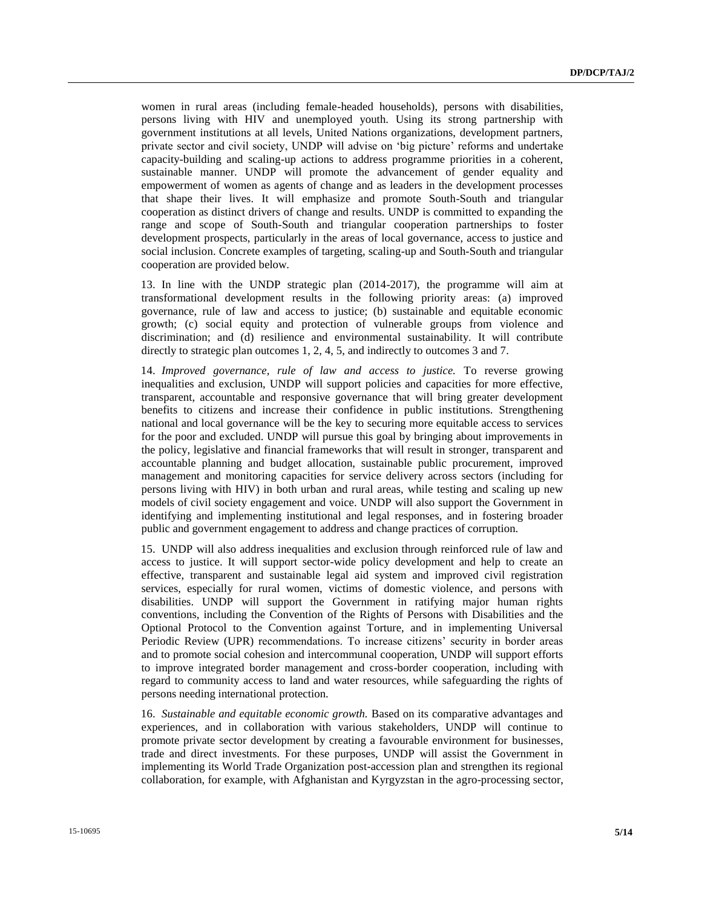women in rural areas (including female-headed households), persons with disabilities, persons living with HIV and unemployed youth. Using its strong partnership with government institutions at all levels, United Nations organizations, development partners, private sector and civil society, UNDP will advise on 'big picture' reforms and undertake capacity-building and scaling-up actions to address programme priorities in a coherent, sustainable manner. UNDP will promote the advancement of gender equality and empowerment of women as agents of change and as leaders in the development processes that shape their lives. It will emphasize and promote South-South and triangular cooperation as distinct drivers of change and results. UNDP is committed to expanding the range and scope of South-South and triangular cooperation partnerships to foster development prospects, particularly in the areas of local governance, access to justice and social inclusion. Concrete examples of targeting, scaling-up and South-South and triangular cooperation are provided below.

13. In line with the UNDP strategic plan (2014-2017), the programme will aim at transformational development results in the following priority areas: (a) improved governance, rule of law and access to justice; (b) sustainable and equitable economic growth; (c) social equity and protection of vulnerable groups from violence and discrimination; and (d) resilience and environmental sustainability. It will contribute directly to strategic plan outcomes 1, 2, 4, 5, and indirectly to outcomes 3 and 7.

14. *Improved governance, rule of law and access to justice.* To reverse growing inequalities and exclusion, UNDP will support policies and capacities for more effective, transparent, accountable and responsive governance that will bring greater development benefits to citizens and increase their confidence in public institutions. Strengthening national and local governance will be the key to securing more equitable access to services for the poor and excluded. UNDP will pursue this goal by bringing about improvements in the policy, legislative and financial frameworks that will result in stronger, transparent and accountable planning and budget allocation, sustainable public procurement, improved management and monitoring capacities for service delivery across sectors (including for persons living with HIV) in both urban and rural areas, while testing and scaling up new models of civil society engagement and voice. UNDP will also support the Government in identifying and implementing institutional and legal responses, and in fostering broader public and government engagement to address and change practices of corruption.

15. UNDP will also address inequalities and exclusion through reinforced rule of law and access to justice. It will support sector-wide policy development and help to create an effective, transparent and sustainable legal aid system and improved civil registration services, especially for rural women, victims of domestic violence, and persons with disabilities. UNDP will support the Government in ratifying major human rights conventions, including the Convention of the Rights of Persons with Disabilities and the Optional Protocol to the Convention against Torture, and in implementing Universal Periodic Review (UPR) recommendations. To increase citizens' security in border areas and to promote social cohesion and intercommunal cooperation, UNDP will support efforts to improve integrated border management and cross-border cooperation, including with regard to community access to land and water resources, while safeguarding the rights of persons needing international protection.

16. *Sustainable and equitable economic growth.* Based on its comparative advantages and experiences, and in collaboration with various stakeholders, UNDP will continue to promote private sector development by creating a favourable environment for businesses, trade and direct investments. For these purposes, UNDP will assist the Government in implementing its World Trade Organization post-accession plan and strengthen its regional collaboration, for example, with Afghanistan and Kyrgyzstan in the agro-processing sector,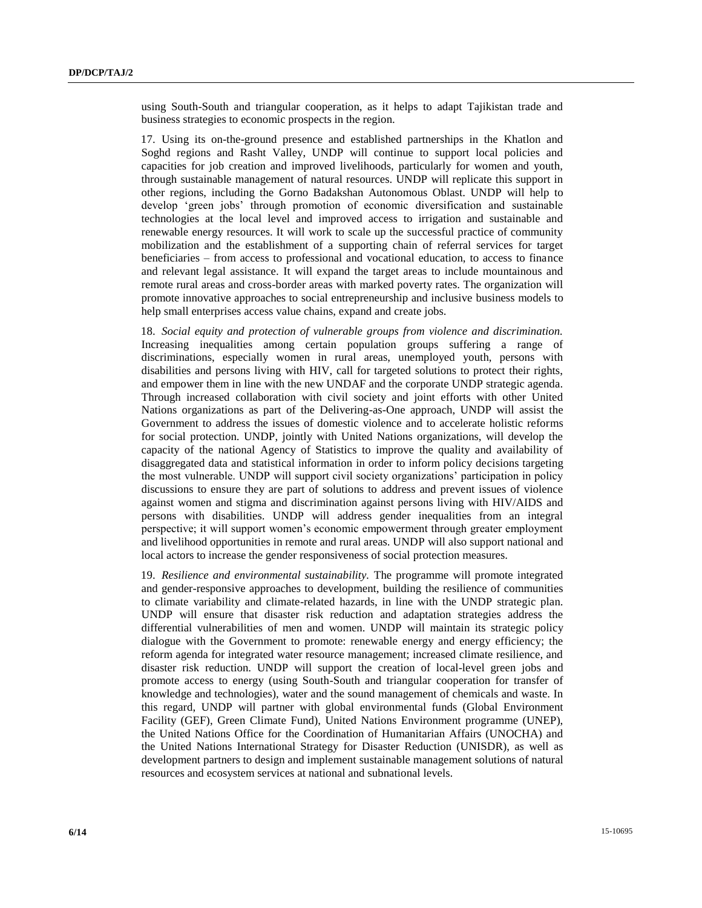using South-South and triangular cooperation, as it helps to adapt Tajikistan trade and business strategies to economic prospects in the region.

17. Using its on-the-ground presence and established partnerships in the Khatlon and Soghd regions and Rasht Valley, UNDP will continue to support local policies and capacities for job creation and improved livelihoods, particularly for women and youth, through sustainable management of natural resources. UNDP will replicate this support in other regions, including the Gorno Badakshan Autonomous Oblast. UNDP will help to develop 'green jobs' through promotion of economic diversification and sustainable technologies at the local level and improved access to irrigation and sustainable and renewable energy resources. It will work to scale up the successful practice of community mobilization and the establishment of a supporting chain of referral services for target beneficiaries – from access to professional and vocational education, to access to finance and relevant legal assistance. It will expand the target areas to include mountainous and remote rural areas and cross-border areas with marked poverty rates. The organization will promote innovative approaches to social entrepreneurship and inclusive business models to help small enterprises access value chains, expand and create jobs.

18. *Social equity and protection of vulnerable groups from violence and discrimination.* Increasing inequalities among certain population groups suffering a range of discriminations, especially women in rural areas, unemployed youth, persons with disabilities and persons living with HIV, call for targeted solutions to protect their rights, and empower them in line with the new UNDAF and the corporate UNDP strategic agenda. Through increased collaboration with civil society and joint efforts with other United Nations organizations as part of the Delivering-as-One approach, UNDP will assist the Government to address the issues of domestic violence and to accelerate holistic reforms for social protection. UNDP, jointly with United Nations organizations, will develop the capacity of the national Agency of Statistics to improve the quality and availability of disaggregated data and statistical information in order to inform policy decisions targeting the most vulnerable. UNDP will support civil society organizations' participation in policy discussions to ensure they are part of solutions to address and prevent issues of violence against women and stigma and discrimination against persons living with HIV/AIDS and persons with disabilities. UNDP will address gender inequalities from an integral perspective; it will support women's economic empowerment through greater employment and livelihood opportunities in remote and rural areas. UNDP will also support national and local actors to increase the gender responsiveness of social protection measures.

19. *Resilience and environmental sustainability.* The programme will promote integrated and gender-responsive approaches to development, building the resilience of communities to climate variability and climate-related hazards, in line with the UNDP strategic plan. UNDP will ensure that disaster risk reduction and adaptation strategies address the differential vulnerabilities of men and women. UNDP will maintain its strategic policy dialogue with the Government to promote: renewable energy and energy efficiency; the reform agenda for integrated water resource management; increased climate resilience, and disaster risk reduction. UNDP will support the creation of local-level green jobs and promote access to energy (using South-South and triangular cooperation for transfer of knowledge and technologies), water and the sound management of chemicals and waste. In this regard, UNDP will partner with global environmental funds (Global Environment Facility (GEF), Green Climate Fund), United Nations Environment programme (UNEP), the United Nations Office for the Coordination of Humanitarian Affairs (UNOCHA) and the United Nations International Strategy for Disaster Reduction (UNISDR), as well as development partners to design and implement sustainable management solutions of natural resources and ecosystem services at national and subnational levels.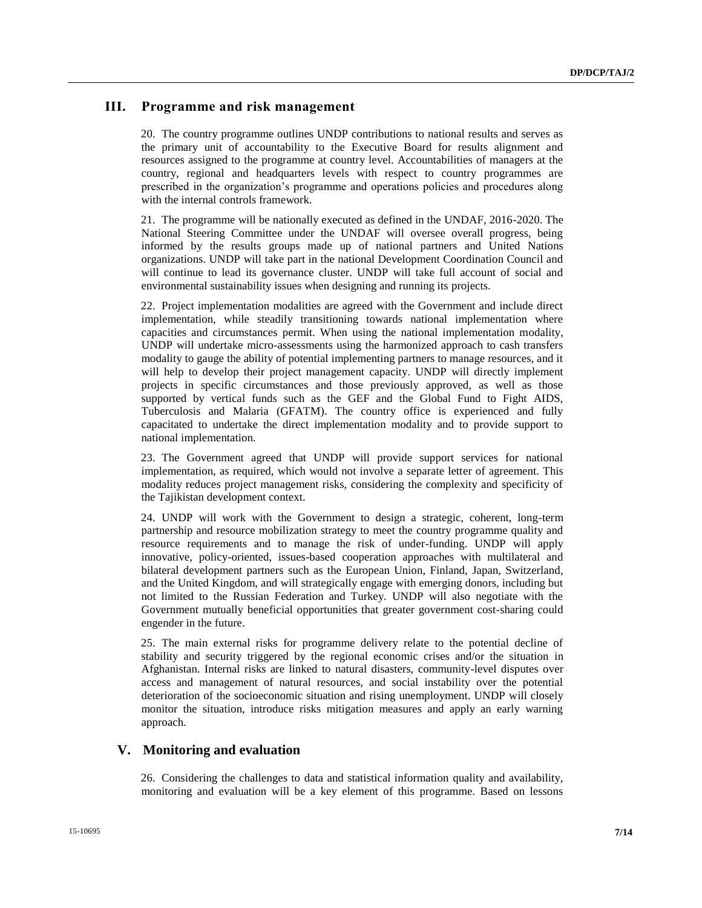## **III. Programme and risk management**

20. The country programme outlines UNDP contributions to national results and serves as the primary unit of accountability to the Executive Board for results alignment and resources assigned to the programme at country level. Accountabilities of managers at the country, regional and headquarters levels with respect to country programmes are prescribed in the organization's programme and operations policies and procedures along with the internal controls framework.

21. The programme will be nationally executed as defined in the UNDAF, 2016-2020. The National Steering Committee under the UNDAF will oversee overall progress, being informed by the results groups made up of national partners and United Nations organizations. UNDP will take part in the national Development Coordination Council and will continue to lead its governance cluster. UNDP will take full account of social and environmental sustainability issues when designing and running its projects.

22. Project implementation modalities are agreed with the Government and include direct implementation, while steadily transitioning towards national implementation where capacities and circumstances permit. When using the national implementation modality, UNDP will undertake micro-assessments using the harmonized approach to cash transfers modality to gauge the ability of potential implementing partners to manage resources, and it will help to develop their project management capacity. UNDP will directly implement projects in specific circumstances and those previously approved, as well as those supported by vertical funds such as the GEF and the Global Fund to Fight AIDS, Tuberculosis and Malaria (GFATM). The country office is experienced and fully capacitated to undertake the direct implementation modality and to provide support to national implementation.

23. The Government agreed that UNDP will provide support services for national implementation, as required, which would not involve a separate letter of agreement. This modality reduces project management risks, considering the complexity and specificity of the Tajikistan development context.

24. UNDP will work with the Government to design a strategic, coherent, long-term partnership and resource mobilization strategy to meet the country programme quality and resource requirements and to manage the risk of under-funding. UNDP will apply innovative, policy-oriented, issues-based cooperation approaches with multilateral and bilateral development partners such as the European Union, Finland, Japan, Switzerland, and the United Kingdom, and will strategically engage with emerging donors, including but not limited to the Russian Federation and Turkey. UNDP will also negotiate with the Government mutually beneficial opportunities that greater government cost-sharing could engender in the future.

25. The main external risks for programme delivery relate to the potential decline of stability and security triggered by the regional economic crises and/or the situation in Afghanistan. Internal risks are linked to natural disasters, community-level disputes over access and management of natural resources, and social instability over the potential deterioration of the socioeconomic situation and rising unemployment. UNDP will closely monitor the situation, introduce risks mitigation measures and apply an early warning approach.

### **V. Monitoring and evaluation**

26. Considering the challenges to data and statistical information quality and availability, monitoring and evaluation will be a key element of this programme. Based on lessons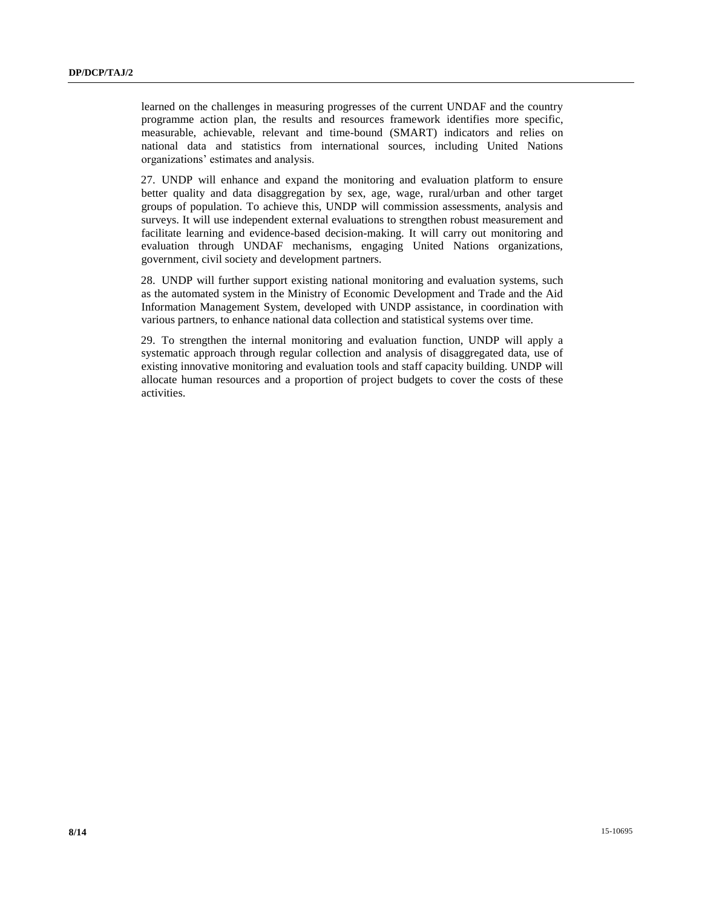learned on the challenges in measuring progresses of the current UNDAF and the country programme action plan, the results and resources framework identifies more specific, measurable, achievable, relevant and time-bound (SMART) indicators and relies on national data and statistics from international sources, including United Nations organizations' estimates and analysis.

27. UNDP will enhance and expand the monitoring and evaluation platform to ensure better quality and data disaggregation by sex, age, wage, rural/urban and other target groups of population. To achieve this, UNDP will commission assessments, analysis and surveys. It will use independent external evaluations to strengthen robust measurement and facilitate learning and evidence-based decision-making. It will carry out monitoring and evaluation through UNDAF mechanisms, engaging United Nations organizations, government, civil society and development partners.

28. UNDP will further support existing national monitoring and evaluation systems, such as the automated system in the Ministry of Economic Development and Trade and the Aid Information Management System, developed with UNDP assistance, in coordination with various partners, to enhance national data collection and statistical systems over time.

29. To strengthen the internal monitoring and evaluation function, UNDP will apply a systematic approach through regular collection and analysis of disaggregated data, use of existing innovative monitoring and evaluation tools and staff capacity building. UNDP will allocate human resources and a proportion of project budgets to cover the costs of these activities.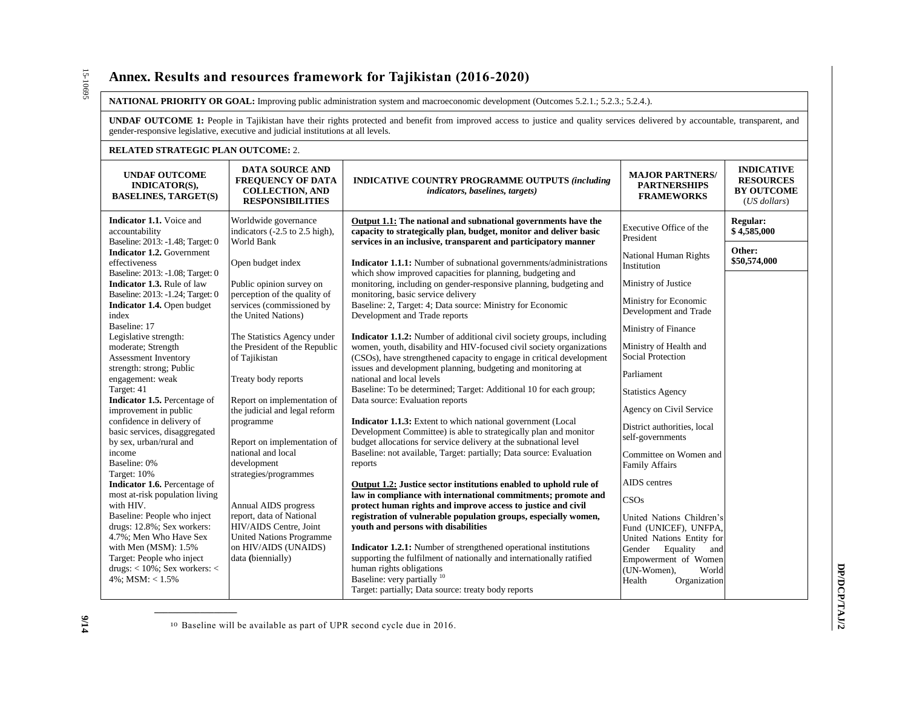# **Annex. Results and resources framework for Tajikistan (2016-2020)**

#### **NATIONAL PRIORITY OR GOAL:** Improving public administration system and macroeconomic development (Outcomes 5.2.1.; 5.2.3.; 5.2.4.).

**UNDAF OUTCOME 1:** People in Tajikistan have their rights protected and benefit from improved access to justice and quality services delivered by accountable, transparent, and gender-responsive legislative, executive and judicial institutions at all levels.

## **RELATED STRATEGIC PLAN OUTCOME:** 2.

**\_\_\_\_\_\_\_\_\_\_\_\_\_\_\_\_\_\_**

| KELATED STKATEGIC FLAN OUTCOME; 2.                                                    |                                                                                                         |                                                                                                                                                                                                            |                                                                                |                                                                            |  |  |
|---------------------------------------------------------------------------------------|---------------------------------------------------------------------------------------------------------|------------------------------------------------------------------------------------------------------------------------------------------------------------------------------------------------------------|--------------------------------------------------------------------------------|----------------------------------------------------------------------------|--|--|
| <b>UNDAF OUTCOME</b><br><b>INDICATOR(S),</b><br><b>BASELINES, TARGET(S)</b>           | <b>DATA SOURCE AND</b><br><b>FREQUENCY OF DATA</b><br><b>COLLECTION, AND</b><br><b>RESPONSIBILITIES</b> | <b>INDICATIVE COUNTRY PROGRAMME OUTPUTS (including</b><br><i>indicators, baselines, targets)</i>                                                                                                           | <b>MAJOR PARTNERS/</b><br><b>PARTNERSHIPS</b><br><b>FRAMEWORKS</b>             | <b>INDICATIVE</b><br><b>RESOURCES</b><br><b>BY OUTCOME</b><br>(US dollars) |  |  |
| Indicator 1.1. Voice and<br>accountability<br>Baseline: 2013: -1.48; Target: 0        | Worldwide governance<br>indicators (-2.5 to 2.5 high),<br>World Bank                                    | Output 1.1: The national and subnational governments have the<br>capacity to strategically plan, budget, monitor and deliver basic<br>services in an inclusive, transparent and participatory manner       | Executive Office of the<br>President                                           | Regular:<br>\$4,585,000                                                    |  |  |
| <b>Indicator 1.2.</b> Government<br>effectiveness<br>Baseline: 2013: -1.08; Target: 0 | Open budget index                                                                                       | <b>Indicator 1.1.1:</b> Number of subnational governments/administrations                                                                                                                                  | National Human Rights<br>Institution                                           | Other:<br>\$50,574,000                                                     |  |  |
| Indicator 1.3. Rule of law<br>Baseline: 2013: -1.24; Target: 0                        | Public opinion survey on<br>perception of the quality of                                                | which show improved capacities for planning, budgeting and<br>monitoring, including on gender-responsive planning, budgeting and<br>monitoring, basic service delivery                                     | Ministry of Justice                                                            |                                                                            |  |  |
| Indicator 1.4. Open budget<br>index                                                   | services (commissioned by<br>the United Nations)                                                        | Baseline: 2, Target: 4; Data source: Ministry for Economic<br>Development and Trade reports                                                                                                                | Ministry for Economic<br>Development and Trade                                 |                                                                            |  |  |
| Baseline: 17<br>Legislative strength:                                                 | The Statistics Agency under                                                                             | <b>Indicator 1.1.2:</b> Number of additional civil society groups, including                                                                                                                               | Ministry of Finance                                                            |                                                                            |  |  |
| moderate; Strength<br>Assessment Inventory                                            | the President of the Republic<br>of Tajikistan                                                          | women, youth, disability and HIV-focused civil society organizations<br>(CSOs), have strengthened capacity to engage in critical development                                                               | Ministry of Health and<br>Social Protection                                    |                                                                            |  |  |
| strength: strong; Public<br>engagement: weak<br>Target: 41                            | Treaty body reports                                                                                     | issues and development planning, budgeting and monitoring at<br>national and local levels<br>Baseline: To be determined; Target: Additional 10 for each group;                                             | Parliament<br><b>Statistics Agency</b>                                         |                                                                            |  |  |
| Indicator 1.5. Percentage of<br>improvement in public                                 | Report on implementation of<br>the judicial and legal reform                                            | Data source: Evaluation reports                                                                                                                                                                            | Agency on Civil Service                                                        |                                                                            |  |  |
| confidence in delivery of<br>basic services, disaggregated<br>by sex, urban/rural and | programme<br>Report on implementation of                                                                | <b>Indicator 1.1.3:</b> Extent to which national government (Local<br>Development Committee) is able to strategically plan and monitor<br>budget allocations for service delivery at the subnational level | District authorities, local<br>self-governments                                |                                                                            |  |  |
| income<br>Baseline: 0%<br>Target: 10%                                                 | national and local<br>development<br>strategies/programmes                                              | Baseline: not available, Target: partially; Data source: Evaluation<br>reports                                                                                                                             | Committee on Women and<br><b>Family Affairs</b>                                |                                                                            |  |  |
| Indicator 1.6. Percentage of                                                          |                                                                                                         | Output 1.2: Justice sector institutions enabled to uphold rule of                                                                                                                                          | AIDS centres                                                                   |                                                                            |  |  |
| most at-risk population living<br>with HIV.                                           | Annual AIDS progress                                                                                    | law in compliance with international commitments; promote and<br>protect human rights and improve access to justice and civil                                                                              | CSOs                                                                           |                                                                            |  |  |
| Baseline: People who inject<br>drugs: 12.8%; Sex workers:<br>4.7%; Men Who Have Sex   | report, data of National<br>HIV/AIDS Centre, Joint                                                      | registration of vulnerable population groups, especially women,<br>vouth and persons with disabilities                                                                                                     | United Nations Children's<br>Fund (UNICEF), UNFPA,                             |                                                                            |  |  |
| with Men (MSM): 1.5%<br>Target: People who inject                                     | <b>United Nations Programme</b><br>on HIV/AIDS (UNAIDS)<br>data (biennially)                            | <b>Indicator 1.2.1:</b> Number of strengthened operational institutions<br>supporting the fulfilment of nationally and internationally ratified                                                            | United Nations Entity for<br>Gender<br>Equality<br>and<br>Empowerment of Women |                                                                            |  |  |
| drugs: $<$ 10%; Sex workers: $<$<br>$4\%$ : MSM: < $1.5\%$                            |                                                                                                         | human rights obligations<br>Baseline: very partially <sup>10</sup><br>Target: partially; Data source: treaty body reports                                                                                  | (UN-Women),<br>World<br>Health<br>Organization                                 |                                                                            |  |  |

10 Baseline will be available as part of UPR second cycle due in 2016.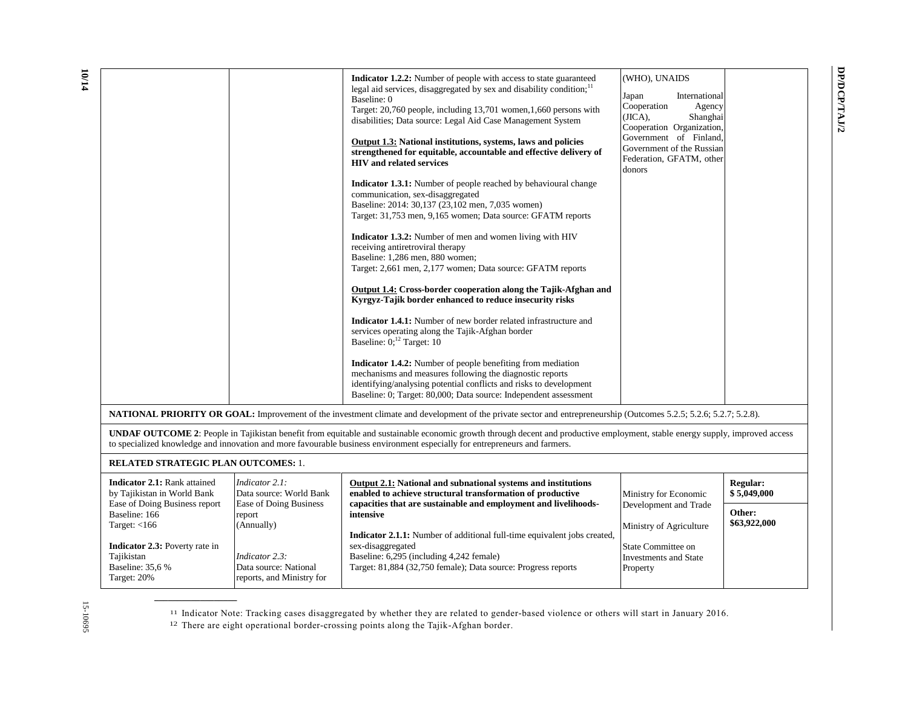|                                                                                                                                                                | Indicator 1.2.2: Number of people with access to state guaranteed<br>legal aid services, disaggregated by sex and disability condition; <sup>11</sup><br>Baseline: 0<br>Target: 20,760 people, including 13,701 women, 1,660 persons with<br>disabilities; Data source: Legal Aid Case Management System<br>Output 1.3: National institutions, systems, laws and policies<br>strengthened for equitable, accountable and effective delivery of<br><b>HIV</b> and related services<br>Indicator 1.3.1: Number of people reached by behavioural change<br>communication, sex-disaggregated<br>Baseline: 2014: 30,137 (23,102 men, 7,035 women)<br>Target: 31,753 men, 9,165 women; Data source: GFATM reports<br>Indicator 1.3.2: Number of men and women living with HIV<br>receiving antiretroviral therapy<br>Baseline: 1,286 men, 880 women;<br>Target: 2,661 men, 2,177 women; Data source: GFATM reports<br>Output 1.4: Cross-border cooperation along the Tajik-Afghan and<br>Kyrgyz-Tajik border enhanced to reduce insecurity risks<br><b>Indicator 1.4.1:</b> Number of new border related infrastructure and<br>services operating along the Tajik-Afghan border<br>Baseline: $0;^{12}$ Target: 10<br>Indicator 1.4.2: Number of people benefiting from mediation<br>mechanisms and measures following the diagnostic reports<br>identifying/analysing potential conflicts and risks to development<br>Baseline: 0; Target: 80,000; Data source: Independent assessment<br><b>NATIONAL PRIORITY OR GOAL:</b> Improvement of the investment climate and development of the private sector and entrepreneurship (Outcomes 5.2.5; 5.2.6; 5.2.7; 5.2.8). | (WHO), UNAIDS<br>Japan<br>International<br>Cooperation<br>Agency<br>(JICA),<br>Shanghai<br>Cooperation Organization,<br>Government of Finland,<br>Government of the Russian<br>Federation, GFATM, other<br>donors |                                |  |  |
|----------------------------------------------------------------------------------------------------------------------------------------------------------------|---------------------------------------------------------------------------------------------------------------------------------------------------------------------------------------------------------------------------------------------------------------------------------------------------------------------------------------------------------------------------------------------------------------------------------------------------------------------------------------------------------------------------------------------------------------------------------------------------------------------------------------------------------------------------------------------------------------------------------------------------------------------------------------------------------------------------------------------------------------------------------------------------------------------------------------------------------------------------------------------------------------------------------------------------------------------------------------------------------------------------------------------------------------------------------------------------------------------------------------------------------------------------------------------------------------------------------------------------------------------------------------------------------------------------------------------------------------------------------------------------------------------------------------------------------------------------------------------------------------------------------------------------------------|-------------------------------------------------------------------------------------------------------------------------------------------------------------------------------------------------------------------|--------------------------------|--|--|
|                                                                                                                                                                | UNDAF OUTCOME 2: People in Tajikistan benefit from equitable and sustainable economic growth through decent and productive employment, stable energy supply, improved access                                                                                                                                                                                                                                                                                                                                                                                                                                                                                                                                                                                                                                                                                                                                                                                                                                                                                                                                                                                                                                                                                                                                                                                                                                                                                                                                                                                                                                                                                  |                                                                                                                                                                                                                   |                                |  |  |
| to specialized knowledge and innovation and more favourable business environment especially for entrepreneurs and farmers.                                     |                                                                                                                                                                                                                                                                                                                                                                                                                                                                                                                                                                                                                                                                                                                                                                                                                                                                                                                                                                                                                                                                                                                                                                                                                                                                                                                                                                                                                                                                                                                                                                                                                                                               |                                                                                                                                                                                                                   |                                |  |  |
| <b>RELATED STRATEGIC PLAN OUTCOMES: 1.</b>                                                                                                                     |                                                                                                                                                                                                                                                                                                                                                                                                                                                                                                                                                                                                                                                                                                                                                                                                                                                                                                                                                                                                                                                                                                                                                                                                                                                                                                                                                                                                                                                                                                                                                                                                                                                               |                                                                                                                                                                                                                   |                                |  |  |
| <b>Indicator 2.1:</b> Rank attained<br>Indicator 2.1:<br>by Tajikistan in World Bank<br>Data source: World Bank                                                | <b>Output 2.1:</b> National and subnational systems and institutions<br>enabled to achieve structural transformation of productive                                                                                                                                                                                                                                                                                                                                                                                                                                                                                                                                                                                                                                                                                                                                                                                                                                                                                                                                                                                                                                                                                                                                                                                                                                                                                                                                                                                                                                                                                                                            | Ministry for Economic                                                                                                                                                                                             | <b>Regular:</b><br>\$5,049,000 |  |  |
| Ease of Doing Business report<br>Ease of Doing Business<br>Baseline: 166<br>report<br>Target: $<$ 166<br>(Annually)                                            | capacities that are sustainable and employment and livelihoods-<br>intensive                                                                                                                                                                                                                                                                                                                                                                                                                                                                                                                                                                                                                                                                                                                                                                                                                                                                                                                                                                                                                                                                                                                                                                                                                                                                                                                                                                                                                                                                                                                                                                                  | Development and Trade<br>Ministry of Agriculture                                                                                                                                                                  | Other:<br>\$63,922,000         |  |  |
| <b>Indicator 2.3:</b> Poverty rate in<br>Tajikistan<br>Indicator 2.3:<br>Baseline: 35,6 %<br>Data source: National<br>Target: 20%<br>reports, and Ministry for | Indicator 2.1.1: Number of additional full-time equivalent jobs created,<br>sex-disaggregated<br>Baseline: 6,295 (including 4,242 female)<br>Target: 81,884 (32,750 female); Data source: Progress reports                                                                                                                                                                                                                                                                                                                                                                                                                                                                                                                                                                                                                                                                                                                                                                                                                                                                                                                                                                                                                                                                                                                                                                                                                                                                                                                                                                                                                                                    | <b>State Committee on</b><br><b>Investments and State</b><br>Property                                                                                                                                             |                                |  |  |

**DP/DCP/TAJ/2**

DP/DCP/TAJ/2

<sup>11</sup> Indicator Note: Tracking cases disaggregated by whether they are related to gender-based violence or others will start in January 2016.

<sup>12</sup> There are eight operational border-crossing points along the Tajik-Afghan border.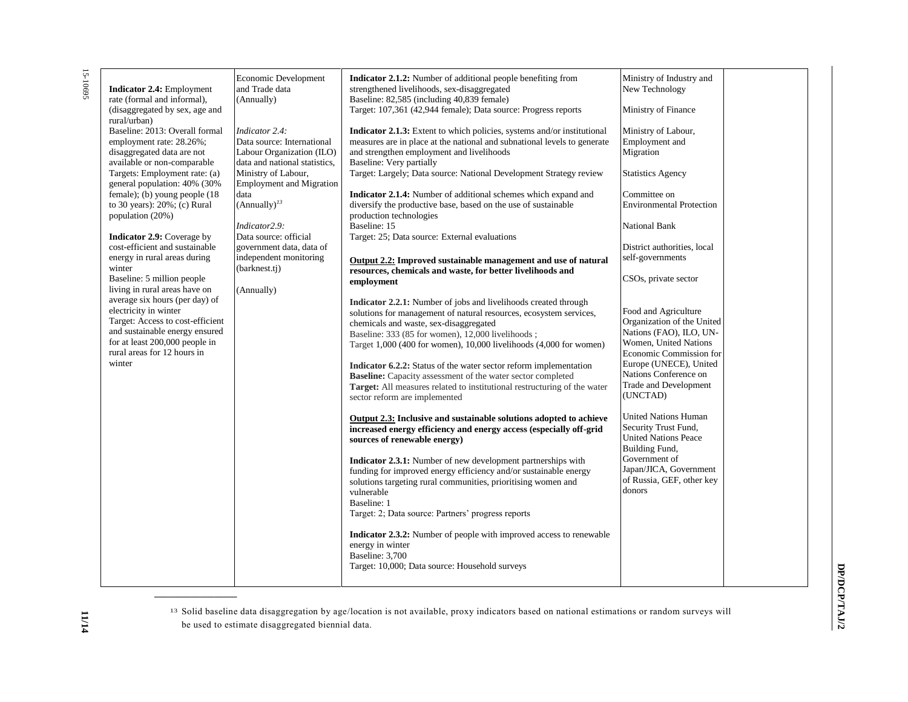15-10695 15-10695

| <b>Indicator 2.4:</b> Employment<br>rate (formal and informal),<br>(disaggregated by sex, age and<br>rural/urban)<br>Baseline: 2013: Overall formal<br>employment rate: 28.26%;<br>disaggregated data are not<br>available or non-comparable<br>Targets: Employment rate: (a)<br>general population: 40% (30%<br>female); (b) young people (18<br>to 30 years): $20\%$ ; (c) Rural<br>population (20%)<br><b>Indicator 2.9:</b> Coverage by<br>cost-efficient and sustainable<br>energy in rural areas during<br>winter<br>Baseline: 5 million people<br>living in rural areas have on<br>average six hours (per day) of<br>electricity in winter<br>Target: Access to cost-efficient<br>and sustainable energy ensured<br>for at least 200,000 people in<br>rural areas for 12 hours in<br>winter | Economic Development<br>and Trade data<br>(Annually)<br>Indicator 2.4:<br>Data source: International<br>Labour Organization (ILO)<br>data and national statistics,<br>Ministry of Labour,<br><b>Employment and Migration</b><br>data<br>$(Annually)^{13}$<br>Indicator2.9:<br>Data source: official<br>government data, data of<br>independent monitoring<br>(barknest.tj)<br>(Annually) | <b>Indicator 2.1.2:</b> Number of additional people benefiting from<br>strengthened livelihoods, sex-disaggregated<br>Baseline: 82,585 (including 40,839 female)<br>Target: 107,361 (42,944 female); Data source: Progress reports<br>Indicator 2.1.3: Extent to which policies, systems and/or institutional<br>measures are in place at the national and subnational levels to generate<br>and strengthen employment and livelihoods<br>Baseline: Very partially<br>Target: Largely; Data source: National Development Strategy review<br><b>Indicator 2.1.4:</b> Number of additional schemes which expand and<br>diversify the productive base, based on the use of sustainable<br>production technologies<br>Baseline: 15<br>Target: 25; Data source: External evaluations<br>Output 2.2: Improved sustainable management and use of natural<br>resources, chemicals and waste, for better livelihoods and<br>employment<br>Indicator 2.2.1: Number of jobs and livelihoods created through<br>solutions for management of natural resources, ecosystem services,<br>chemicals and waste, sex-disaggregated<br>Baseline: 333 (85 for women), 12,000 livelihoods;<br>Target 1,000 (400 for women), 10,000 livelihoods (4,000 for women)<br>Indicator 6.2.2: Status of the water sector reform implementation<br>Baseline: Capacity assessment of the water sector completed<br>Target: All measures related to institutional restructuring of the water<br>sector reform are implemented<br>Output 2.3: Inclusive and sustainable solutions adopted to achieve<br>increased energy efficiency and energy access (especially off-grid<br>sources of renewable energy)<br><b>Indicator 2.3.1:</b> Number of new development partnerships with<br>funding for improved energy efficiency and/or sustainable energy<br>solutions targeting rural communities, prioritising women and<br>vulnerable<br>Baseline: 1<br>Target: 2; Data source: Partners' progress reports<br>Indicator 2.3.2: Number of people with improved access to renewable<br>energy in winter<br>Baseline: 3,700<br>Target: 10,000; Data source: Household surveys | Ministry of Industry and<br>New Technology<br>Ministry of Finance<br>Ministry of Labour,<br>Employment and<br>Migration<br><b>Statistics Agency</b><br>Committee on<br><b>Environmental Protection</b><br><b>National Bank</b><br>District authorities, local<br>self-governments<br>CSO <sub>s</sub> , private sector<br>Food and Agriculture<br>Organization of the United<br>Nations (FAO), ILO, UN-<br>Women, United Nations<br>Economic Commission for<br>Europe (UNECE), United<br>Nations Conference on<br><b>Trade and Development</b><br>(UNCTAD)<br><b>United Nations Human</b><br>Security Trust Fund,<br><b>United Nations Peace</b><br>Building Fund,<br>Government of<br>Japan/JICA, Government<br>of Russia, GEF, other key<br>donors |  |
|----------------------------------------------------------------------------------------------------------------------------------------------------------------------------------------------------------------------------------------------------------------------------------------------------------------------------------------------------------------------------------------------------------------------------------------------------------------------------------------------------------------------------------------------------------------------------------------------------------------------------------------------------------------------------------------------------------------------------------------------------------------------------------------------------|------------------------------------------------------------------------------------------------------------------------------------------------------------------------------------------------------------------------------------------------------------------------------------------------------------------------------------------------------------------------------------------|-----------------------------------------------------------------------------------------------------------------------------------------------------------------------------------------------------------------------------------------------------------------------------------------------------------------------------------------------------------------------------------------------------------------------------------------------------------------------------------------------------------------------------------------------------------------------------------------------------------------------------------------------------------------------------------------------------------------------------------------------------------------------------------------------------------------------------------------------------------------------------------------------------------------------------------------------------------------------------------------------------------------------------------------------------------------------------------------------------------------------------------------------------------------------------------------------------------------------------------------------------------------------------------------------------------------------------------------------------------------------------------------------------------------------------------------------------------------------------------------------------------------------------------------------------------------------------------------------------------------------------------------------------------------------------------------------------------------------------------------------------------------------------------------------------------------------------------------------------------------------------------------------------------------------------------------------------------------------------------------------------------------------------------------------------------------------------------------------------------------------------------------|------------------------------------------------------------------------------------------------------------------------------------------------------------------------------------------------------------------------------------------------------------------------------------------------------------------------------------------------------------------------------------------------------------------------------------------------------------------------------------------------------------------------------------------------------------------------------------------------------------------------------------------------------------------------------------------------------------------------------------------------------|--|
|                                                                                                                                                                                                                                                                                                                                                                                                                                                                                                                                                                                                                                                                                                                                                                                                    |                                                                                                                                                                                                                                                                                                                                                                                          |                                                                                                                                                                                                                                                                                                                                                                                                                                                                                                                                                                                                                                                                                                                                                                                                                                                                                                                                                                                                                                                                                                                                                                                                                                                                                                                                                                                                                                                                                                                                                                                                                                                                                                                                                                                                                                                                                                                                                                                                                                                                                                                                         |                                                                                                                                                                                                                                                                                                                                                                                                                                                                                                                                                                                                                                                                                                                                                      |  |

13 Solid baseline data disaggregation by age/location is not available, proxy indicators based on national estimations or random surveys will be used to estimate disaggregated biennial data.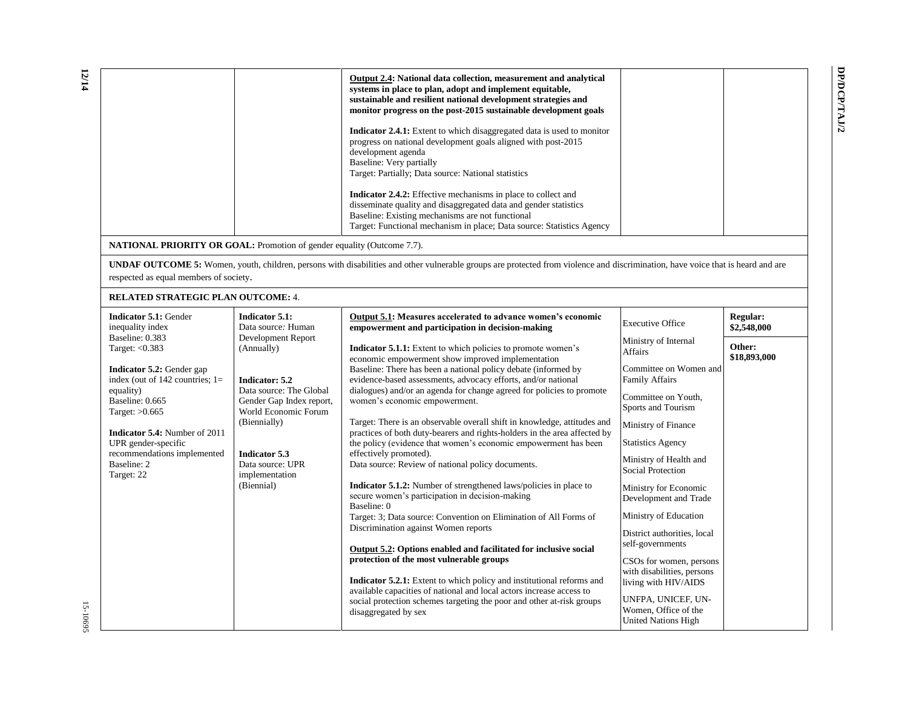| Output 2.4: National data collection, measurement and analytical<br>systems in place to plan, adopt and implement equitable,<br>sustainable and resilient national development strategies and<br>monitor progress on the post-2015 sustainable development goals      |  |
|-----------------------------------------------------------------------------------------------------------------------------------------------------------------------------------------------------------------------------------------------------------------------|--|
| <b>Indicator 2.4.1:</b> Extent to which disaggregated data is used to monitor<br>progress on national development goals aligned with post-2015<br>development agenda<br>Baseline: Very partially<br>Target: Partially; Data source: National statistics               |  |
| <b>Indicator 2.4.2:</b> Effective mechanisms in place to collect and<br>disseminate quality and disaggregated data and gender statistics<br>Baseline: Existing mechanisms are not functional<br>Target: Functional mechanism in place; Data source: Statistics Agency |  |
| uality (Outcome 7.7).                                                                                                                                                                                                                                                 |  |
| disabilities and other vulnerable groups are protected from violence and discrimination, have voice that is he                                                                                                                                                        |  |

**NATIONAL PRIORITY OR GOAL:** Promotion of gender equality (Outcome 7.7).

**UNDAF OUTCOME 5:** Women, youth, children, persons with disabilities and other vulnerable groups are protected from violence and discrimination, have voice that is heard and are respected as equal members of society.

#### **RELATED STRATEGIC PLAN OUTCOME:** 4.

| <b>Indicator 5.1: Gender</b><br>inequality index                                     | Indicator 5.1:<br>Data source: Human                | Output 5.1: Measures accelerated to advance women's economic<br>empowerment and participation in decision-making                                                                                                         | <b>Executive Office</b>                                                       | <b>Regular:</b><br>\$2,548,000 |
|--------------------------------------------------------------------------------------|-----------------------------------------------------|--------------------------------------------------------------------------------------------------------------------------------------------------------------------------------------------------------------------------|-------------------------------------------------------------------------------|--------------------------------|
| Baseline: 0.383<br>Target: $< 0.383$                                                 | Development Report<br>(Annually)                    | <b>Indicator 5.1.1:</b> Extent to which policies to promote women's<br>economic empowerment show improved implementation                                                                                                 | Ministry of Internal<br><b>Affairs</b>                                        | Other:<br>\$18,893,000         |
| <b>Indicator 5.2:</b> Gender gap<br>index (out of $142$ countries; $1=$<br>equality) | Indicator: 5.2<br>Data source: The Global           | Baseline: There has been a national policy debate (informed by<br>evidence-based assessments, advocacy efforts, and/or national<br>dialogues) and/or an agenda for change agreed for policies to promote                 | Committee on Women and<br><b>Family Affairs</b>                               |                                |
| Baseline: 0.665<br>Target: $>0.665$                                                  | Gender Gap Index report,<br>World Economic Forum    | women's economic empowerment.                                                                                                                                                                                            | Committee on Youth,<br>Sports and Tourism                                     |                                |
| <b>Indicator 5.4:</b> Number of 2011<br>UPR gender-specific                          | (Biennially)                                        | Target: There is an observable overall shift in knowledge, attitudes and<br>practices of both duty-bearers and rights-holders in the area affected by<br>the policy (evidence that women's economic empowerment has been | Ministry of Finance<br><b>Statistics Agency</b>                               |                                |
| recommendations implemented<br>Baseline: 2<br>Target: 22                             | Indicator 5.3<br>Data source: UPR<br>implementation | effectively promoted).<br>Data source: Review of national policy documents.                                                                                                                                              | Ministry of Health and<br>Social Protection                                   |                                |
|                                                                                      | (Biennial)                                          | <b>Indicator 5.1.2:</b> Number of strengthened laws/policies in place to<br>secure women's participation in decision-making<br>Baseline: 0                                                                               | Ministry for Economic<br>Development and Trade                                |                                |
|                                                                                      |                                                     | Target: 3; Data source: Convention on Elimination of All Forms of<br>Discrimination against Women reports                                                                                                                | Ministry of Education                                                         |                                |
|                                                                                      |                                                     | <b>Output 5.2: Options enabled and facilitated for inclusive social</b>                                                                                                                                                  | District authorities, local<br>self-governments                               |                                |
|                                                                                      |                                                     | protection of the most vulnerable groups<br><b>Indicator 5.2.1:</b> Extent to which policy and institutional reforms and                                                                                                 | CSOs for women, persons<br>with disabilities, persons<br>living with HIV/AIDS |                                |
|                                                                                      |                                                     | available capacities of national and local actors increase access to<br>social protection schemes targeting the poor and other at-risk groups<br>disaggregated by sex                                                    | UNFPA, UNICEF, UN-<br>Women, Office of the<br><b>United Nations High</b>      |                                |

**DP/DCP/TAJ/2**

DP/DCP/TAJ/2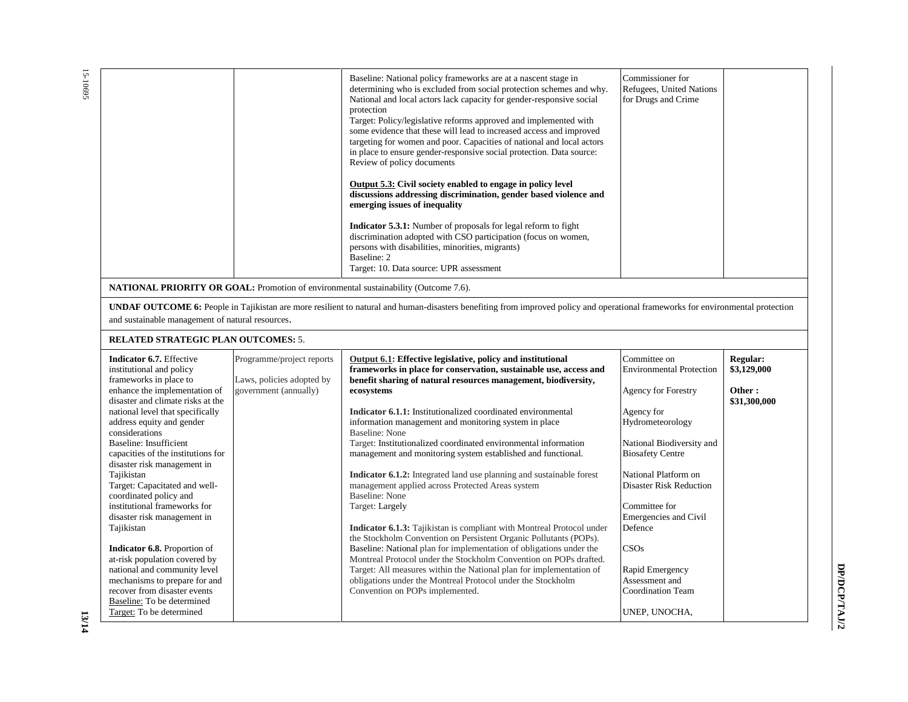|                                                                                                                                                                                                                   |                                                                                 | Baseline: National policy frameworks are at a nascent stage in<br>determining who is excluded from social protection schemes and why.<br>National and local actors lack capacity for gender-responsive social<br>protection<br>Target: Policy/legislative reforms approved and implemented with<br>some evidence that these will lead to increased access and improved<br>targeting for women and poor. Capacities of national and local actors<br>in place to ensure gender-responsive social protection. Data source:<br>Review of policy documents<br>Output 5.3: Civil society enabled to engage in policy level<br>discussions addressing discrimination, gender based violence and<br>emerging issues of inequality<br><b>Indicator 5.3.1:</b> Number of proposals for legal reform to fight<br>discrimination adopted with CSO participation (focus on women,<br>persons with disabilities, minorities, migrants)<br>Baseline: 2<br>Target: 10. Data source: UPR assessment | Commissioner for<br>Refugees, United Nations<br>for Drugs and Crime                                     |                                                          |
|-------------------------------------------------------------------------------------------------------------------------------------------------------------------------------------------------------------------|---------------------------------------------------------------------------------|------------------------------------------------------------------------------------------------------------------------------------------------------------------------------------------------------------------------------------------------------------------------------------------------------------------------------------------------------------------------------------------------------------------------------------------------------------------------------------------------------------------------------------------------------------------------------------------------------------------------------------------------------------------------------------------------------------------------------------------------------------------------------------------------------------------------------------------------------------------------------------------------------------------------------------------------------------------------------------|---------------------------------------------------------------------------------------------------------|----------------------------------------------------------|
|                                                                                                                                                                                                                   |                                                                                 | <b>NATIONAL PRIORITY OR GOAL:</b> Promotion of environmental sustainability (Outcome 7.6).                                                                                                                                                                                                                                                                                                                                                                                                                                                                                                                                                                                                                                                                                                                                                                                                                                                                                         |                                                                                                         |                                                          |
| and sustainable management of natural resources.                                                                                                                                                                  |                                                                                 | <b>UNDAF OUTCOME 6:</b> People in Tajikistan are more resilient to natural and human-disasters benefiting from improved policy and operational frameworks for environmental protection                                                                                                                                                                                                                                                                                                                                                                                                                                                                                                                                                                                                                                                                                                                                                                                             |                                                                                                         |                                                          |
| <b>RELATED STRATEGIC PLAN OUTCOMES: 5.</b>                                                                                                                                                                        |                                                                                 |                                                                                                                                                                                                                                                                                                                                                                                                                                                                                                                                                                                                                                                                                                                                                                                                                                                                                                                                                                                    |                                                                                                         |                                                          |
| Indicator 6.7. Effective<br>institutional and policy<br>frameworks in place to<br>enhance the implementation of<br>disaster and climate risks at the<br>national level that specifically                          | Programme/project reports<br>Laws, policies adopted by<br>government (annually) | Output 6.1: Effective legislative, policy and institutional<br>frameworks in place for conservation, sustainable use, access and<br>benefit sharing of natural resources management, biodiversity,<br>ecosystems<br>Indicator 6.1.1: Institutionalized coordinated environmental                                                                                                                                                                                                                                                                                                                                                                                                                                                                                                                                                                                                                                                                                                   | Committee on<br><b>Environmental Protection</b><br><b>Agency for Forestry</b><br>Agency for             | <b>Regular:</b><br>\$3,129,000<br>Other:<br>\$31,300,000 |
| address equity and gender<br>considerations<br>Baseline: Insufficient<br>capacities of the institutions for<br>disaster risk management in                                                                        |                                                                                 | information management and monitoring system in place<br><b>Baseline: None</b><br>Target: Institutionalized coordinated environmental information<br>management and monitoring system established and functional.                                                                                                                                                                                                                                                                                                                                                                                                                                                                                                                                                                                                                                                                                                                                                                  | Hydrometeorology<br>National Biodiversity and<br><b>Biosafety Centre</b>                                |                                                          |
| Tajikistan<br>Target: Capacitated and well-<br>coordinated policy and<br>institutional frameworks for<br>disaster risk management in                                                                              |                                                                                 | <b>Indicator 6.1.2:</b> Integrated land use planning and sustainable forest<br>management applied across Protected Areas system<br>Baseline: None<br>Target: Largely                                                                                                                                                                                                                                                                                                                                                                                                                                                                                                                                                                                                                                                                                                                                                                                                               | National Platform on<br><b>Disaster Risk Reduction</b><br>Committee for<br><b>Emergencies and Civil</b> |                                                          |
| Tajikistan<br><b>Indicator 6.8.</b> Proportion of<br>at-risk population covered by<br>national and community level<br>mechanisms to prepare for and<br>recover from disaster events<br>Baseline: To be determined |                                                                                 | <b>Indicator 6.1.3:</b> Tajikistan is compliant with Montreal Protocol under<br>the Stockholm Convention on Persistent Organic Pollutants (POPs).<br>Baseline: National plan for implementation of obligations under the<br>Montreal Protocol under the Stockholm Convention on POPs drafted.<br>Target: All measures within the National plan for implementation of<br>obligations under the Montreal Protocol under the Stockholm<br>Convention on POPs implemented.                                                                                                                                                                                                                                                                                                                                                                                                                                                                                                             | Defence<br>CSOs<br>Rapid Emergency<br>Assessment and<br><b>Coordination Team</b>                        |                                                          |
| Target: To be determined                                                                                                                                                                                          |                                                                                 |                                                                                                                                                                                                                                                                                                                                                                                                                                                                                                                                                                                                                                                                                                                                                                                                                                                                                                                                                                                    | UNEP, UNOCHA,                                                                                           |                                                          |